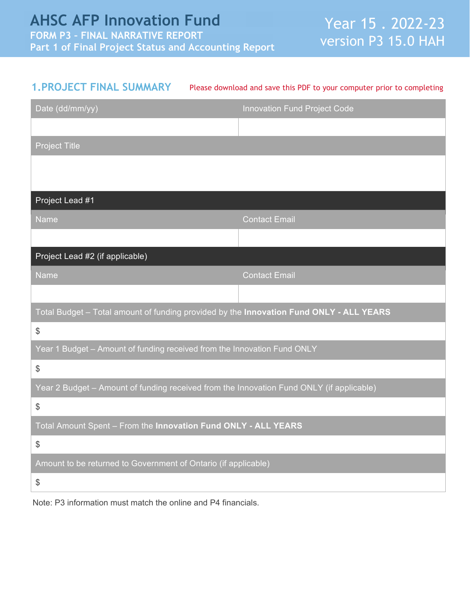| <b>1. PROJECT FINAL SUMMARY</b>                                                          | Please download and save this PDF to your computer prior to completing |
|------------------------------------------------------------------------------------------|------------------------------------------------------------------------|
| Date (dd/mm/yy)                                                                          | Innovation Fund Project Code                                           |
|                                                                                          |                                                                        |
| <b>Project Title</b>                                                                     |                                                                        |
|                                                                                          |                                                                        |
|                                                                                          |                                                                        |
| Project Lead #1                                                                          |                                                                        |
| Name                                                                                     | <b>Contact Email</b>                                                   |
|                                                                                          |                                                                        |
| Project Lead #2 (if applicable)                                                          |                                                                        |
| <b>Name</b>                                                                              | <b>Contact Email</b>                                                   |
|                                                                                          |                                                                        |
| Total Budget - Total amount of funding provided by the Innovation Fund ONLY - ALL YEARS  |                                                                        |
| $\$\$                                                                                    |                                                                        |
| Year 1 Budget - Amount of funding received from the Innovation Fund ONLY                 |                                                                        |
| $\frac{1}{2}$                                                                            |                                                                        |
| Year 2 Budget - Amount of funding received from the Innovation Fund ONLY (if applicable) |                                                                        |
| $\frac{1}{2}$                                                                            |                                                                        |
| Total Amount Spent - From the Innovation Fund ONLY - ALL YEARS                           |                                                                        |
| $\$\$                                                                                    |                                                                        |
| Amount to be returned to Government of Ontario (if applicable)                           |                                                                        |
| $\$\$                                                                                    |                                                                        |
| Note: P3 information must match the online and P4 financials.                            |                                                                        |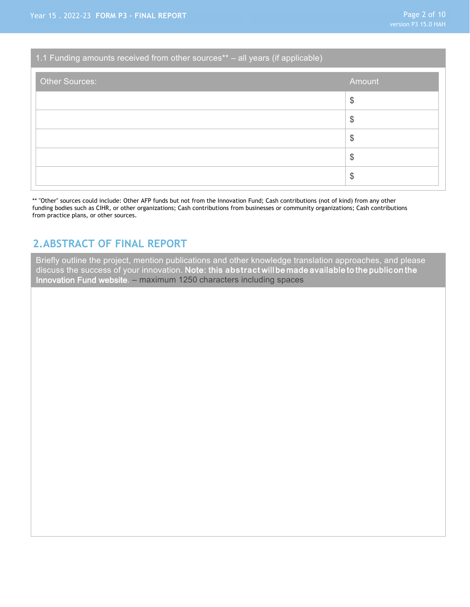## 1.1 Funding amounts received from other sources\*\* – all years (if applicable)

| Other Sources: | Amount        |
|----------------|---------------|
|                | $\frac{1}{2}$ |
|                | $\frac{1}{2}$ |
|                | $\frac{1}{2}$ |
|                | $\frac{1}{2}$ |
|                | $\frac{1}{2}$ |

\*\* "Other" sources could include: Other AFP funds but not from the Innovation Fund; Cash contributions (not of kind) from any other funding bodies such as CIHR, or other organizations; Cash contributions from businesses or community organizations; Cash contributions from practice plans, or other sources.

## **2.ABSTRACT OF FINAL REPORT**

Briefly outline the project, mention publications and other knowledge translation approaches, and please discuss the success of your innovation. Note: this **abstract** will be made available to the public on the Innovation Fund website. – maximum 1250 characters including spaces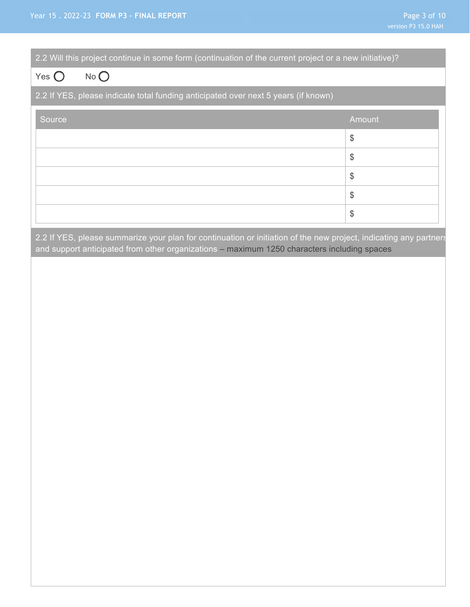| 2.2 Will this project continue in some form (continuation of the current project or a new initiative)? |               |  |
|--------------------------------------------------------------------------------------------------------|---------------|--|
| $No$ $O$<br>Yes $\bigcirc$                                                                             |               |  |
| 2.2 If YES, please indicate total funding anticipated over next 5 years (if known)                     |               |  |
| Source,                                                                                                | Amount        |  |
|                                                                                                        | $\$\$         |  |
|                                                                                                        | $\$\$         |  |
|                                                                                                        | $\$\$         |  |
|                                                                                                        | $\frac{1}{2}$ |  |
|                                                                                                        | $\frac{1}{2}$ |  |

2.2 If YES, please summarize your plan for continuation or initiation of the new project, indicating any partners and support anticipated from other organizations – maximum 1250 characters including spaces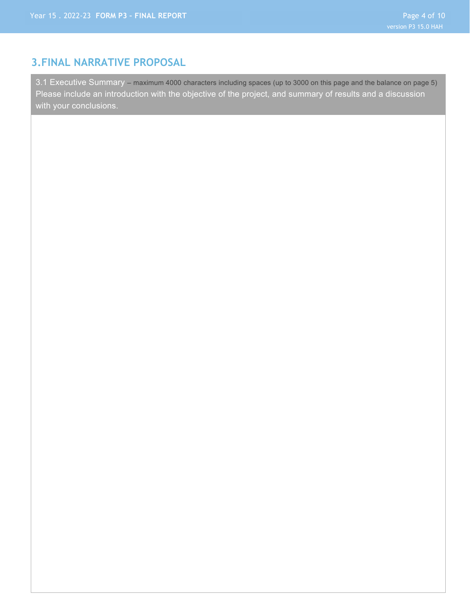## **3.FINAL NARRATIVE PROPOSAL**

3.1 Executive Summary – maximum 4000 characters including spaces (up to 3000 on this page and the balance on page 5) Please include an introduction with the objective of the project, and summary of results and a discussion with your conclusions.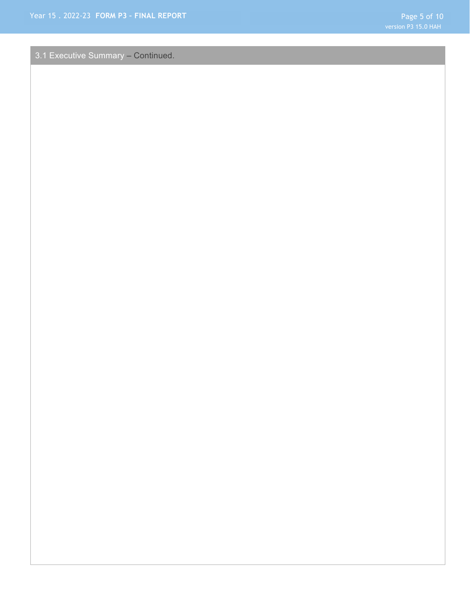3.1 Executive Summary – Continued.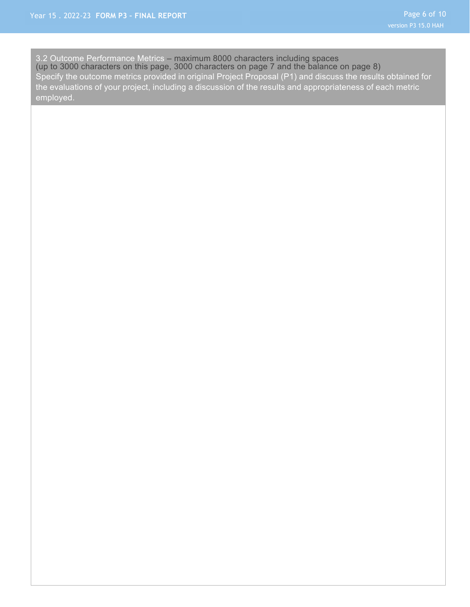3.2 Outcome Performance Metrics – maximum 8000 characters including spaces (up to 3000 characters on this page, 3000 characters on page 7 and the balance on page 8) Specify the outcome metrics provided in original Project Proposal (P1) and discuss the results obtained for the evaluations of your project, including a discussion of the results and appropriateness of each metric employed.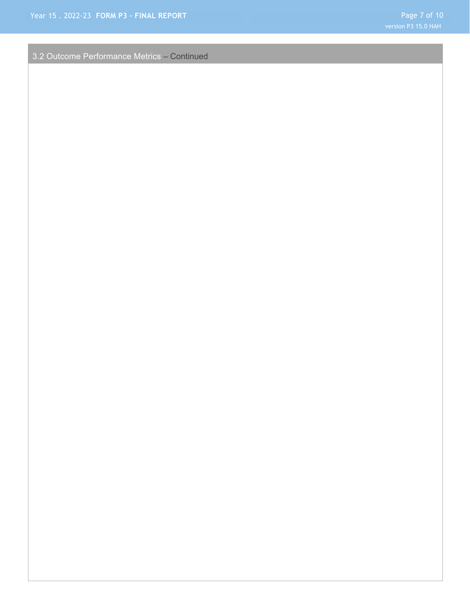3.2 Outcome Performance Metrics – Continued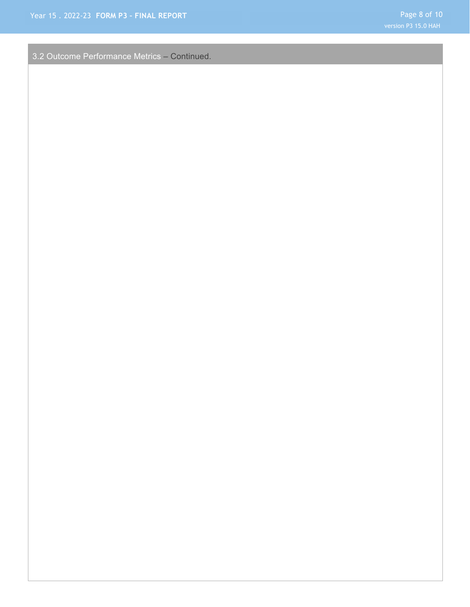3.2 Outcome Performance Metrics – Continued.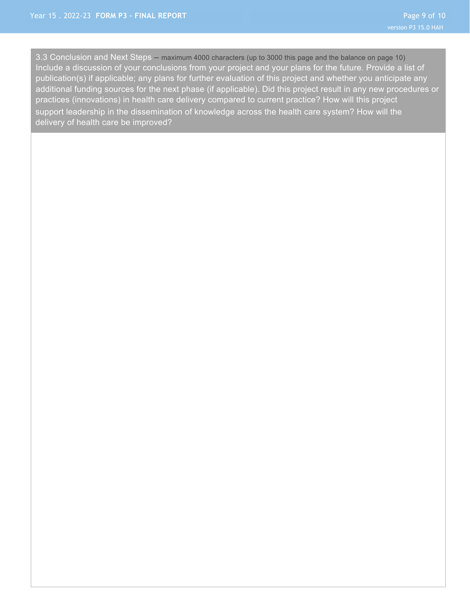3.3 Conclusion and Next Steps – maximum 4000 characters (up to 3000 this page and the balance on page 10) Include a discussion of your conclusions from your project and your plans for the future. Provide a list of publication(s) if applicable; any plans for further evaluation of this project and whether you anticipate any additional funding sources for the next phase (if applicable). Did this project result in any new procedures or practices (innovations) in health care delivery compared to current practice? How will this project support leadership in the dissemination of knowledge across the health care system? How will the delivery of health care be improved?